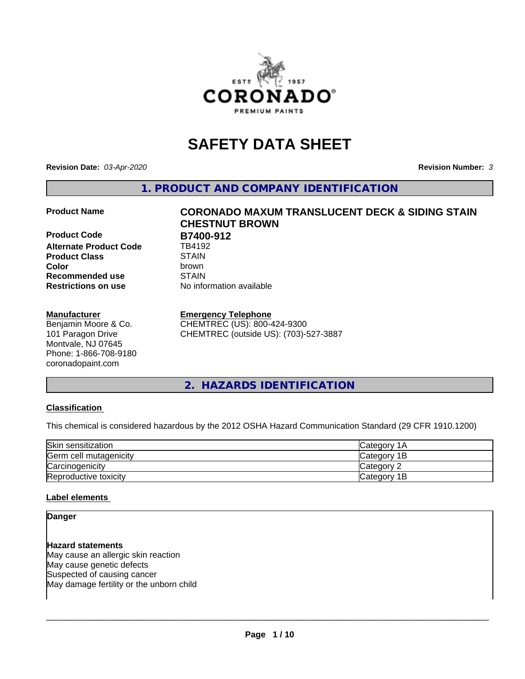

# **SAFETY DATA SHEET**

**Revision Date:** *03-Apr-2020* **Revision Number:** *3*

**1. PRODUCT AND COMPANY IDENTIFICATION**

**Product Code B7400-912**<br>Alternate Product Code **B** TB4192 **Alternate Product Code Product Class** STAIN<br> **Color** brown **Recommended use STAIN Restrictions on use** No information available

#### **Manufacturer**

Benjamin Moore & Co. 101 Paragon Drive Montvale, NJ 07645 Phone: 1-866-708-9180 coronadopaint.com

# **Product Name CORONADO MAXUM TRANSLUCENT DECK & SIDING STAIN CHESTNUT BROWN Color** brown

**Emergency Telephone**

CHEMTREC (US): 800-424-9300 CHEMTREC (outside US): (703)-527-3887

**2. HAZARDS IDENTIFICATION**

#### **Classification**

This chemical is considered hazardous by the 2012 OSHA Hazard Communication Standard (29 CFR 1910.1200)

| Skin sensitization     | Category 1A  |
|------------------------|--------------|
| Germ cell mutagenicity | Category 1B  |
| Carcinogenicity        | Category 2   |
| Reproductive toxicity  | lCategory 1B |

#### **Label elements**

#### **Danger**

**Hazard statements** May cause an allergic skin reaction May cause genetic defects Suspected of causing cancer May damage fertility or the unborn child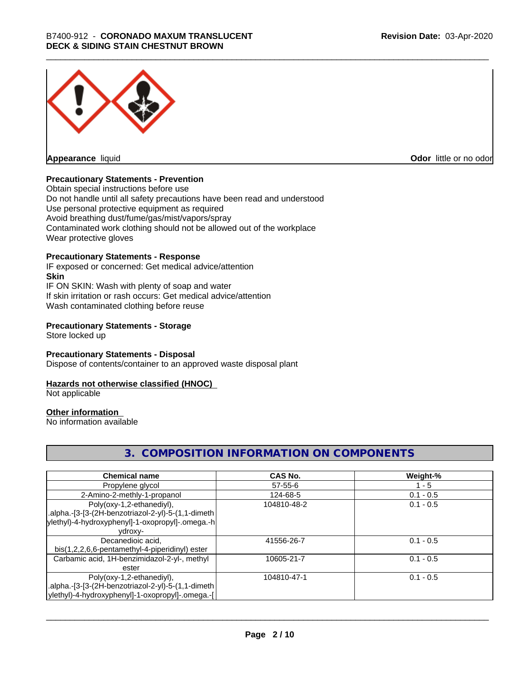

**Appearance** liquid

**Odor** little or no odor

#### **Precautionary Statements - Prevention**

Obtain special instructions before use Do not handle until all safety precautions have been read and understood Use personal protective equipment as required Avoid breathing dust/fume/gas/mist/vapors/spray Contaminated work clothing should not be allowed out of the workplace Wear protective gloves

#### **Precautionary Statements - Response**

IF exposed or concerned: Get medical advice/attention **Skin** IF ON SKIN: Wash with plenty of soap and water If skin irritation or rash occurs: Get medical advice/attention Wash contaminated clothing before reuse

#### **Precautionary Statements - Storage**

Store locked up

#### **Precautionary Statements - Disposal**

Dispose of contents/container to an approved waste disposal plant

#### **Hazards not otherwise classified (HNOC)**

Not applicable

#### **Other information**

No information available

#### **3. COMPOSITION INFORMATION ON COMPONENTS**

| <b>Chemical name</b>                               | <b>CAS No.</b> | Weight-%    |
|----------------------------------------------------|----------------|-------------|
| Propylene glycol                                   | $57 - 55 - 6$  | - 5         |
| 2-Amino-2-methly-1-propanol                        | 124-68-5       | $0.1 - 0.5$ |
| Poly(oxy-1,2-ethanediyl),                          | 104810-48-2    | $0.1 - 0.5$ |
| .alpha.-[3-[3-(2H-benzotriazol-2-yl)-5-(1,1-dimeth |                |             |
| ylethyl)-4-hydroxyphenyl]-1-oxopropyl]-.omega.-h   |                |             |
| ydroxy-                                            |                |             |
| Decanedioic acid,                                  | 41556-26-7     | $0.1 - 0.5$ |
| bis(1,2,2,6,6-pentamethyl-4-piperidinyl) ester     |                |             |
| Carbamic acid, 1H-benzimidazol-2-yl-, methyl       | 10605-21-7     | $0.1 - 0.5$ |
| ester                                              |                |             |
| Poly(oxy-1,2-ethanediyl),                          | 104810-47-1    | $0.1 - 0.5$ |
| .alpha.-[3-[3-(2H-benzotriazol-2-yl)-5-(1,1-dimeth |                |             |
| ylethyl)-4-hydroxyphenyl]-1-oxopropyl]-.omega.-[   |                |             |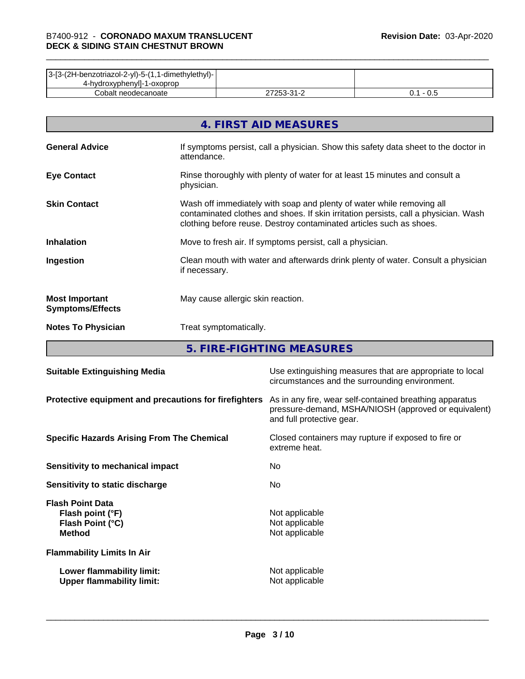| 3-[3-(2H-benzotriazol-2-yl)-5-(1,1-dimethylethyl)- |                           |     |
|----------------------------------------------------|---------------------------|-----|
| 4-hydroxyphenyll-1-oxoprop                         |                           |     |
| Cobalt neodecanoate                                | ר בר<br>ີາ<br><u> - 1</u> | v.J |

|                                                  | 4. FIRST AID MEASURES                                                                                                                                                                                                               |
|--------------------------------------------------|-------------------------------------------------------------------------------------------------------------------------------------------------------------------------------------------------------------------------------------|
| <b>General Advice</b>                            | If symptoms persist, call a physician. Show this safety data sheet to the doctor in<br>attendance.                                                                                                                                  |
| <b>Eye Contact</b>                               | Rinse thoroughly with plenty of water for at least 15 minutes and consult a<br>physician.                                                                                                                                           |
| <b>Skin Contact</b>                              | Wash off immediately with soap and plenty of water while removing all<br>contaminated clothes and shoes. If skin irritation persists, call a physician. Wash<br>clothing before reuse. Destroy contaminated articles such as shoes. |
| <b>Inhalation</b>                                | Move to fresh air. If symptoms persist, call a physician.                                                                                                                                                                           |
| Ingestion                                        | Clean mouth with water and afterwards drink plenty of water. Consult a physician<br>if necessary.                                                                                                                                   |
| <b>Most Important</b><br><b>Symptoms/Effects</b> | May cause allergic skin reaction.                                                                                                                                                                                                   |
| <b>Notes To Physician</b>                        | Treat symptomatically.                                                                                                                                                                                                              |

**5. FIRE-FIGHTING MEASURES**

| <b>Suitable Extinguishing Media</b>                                              | Use extinguishing measures that are appropriate to local<br>circumstances and the surrounding environment.                                   |
|----------------------------------------------------------------------------------|----------------------------------------------------------------------------------------------------------------------------------------------|
| Protective equipment and precautions for firefighters                            | As in any fire, wear self-contained breathing apparatus<br>pressure-demand, MSHA/NIOSH (approved or equivalent)<br>and full protective gear. |
| <b>Specific Hazards Arising From The Chemical</b>                                | Closed containers may rupture if exposed to fire or<br>extreme heat.                                                                         |
| Sensitivity to mechanical impact                                                 | No.                                                                                                                                          |
| Sensitivity to static discharge                                                  | No.                                                                                                                                          |
| <b>Flash Point Data</b><br>Flash point (°F)<br>Flash Point (°C)<br><b>Method</b> | Not applicable<br>Not applicable<br>Not applicable                                                                                           |
| <b>Flammability Limits In Air</b>                                                |                                                                                                                                              |
| Lower flammability limit:<br><b>Upper flammability limit:</b>                    | Not applicable<br>Not applicable                                                                                                             |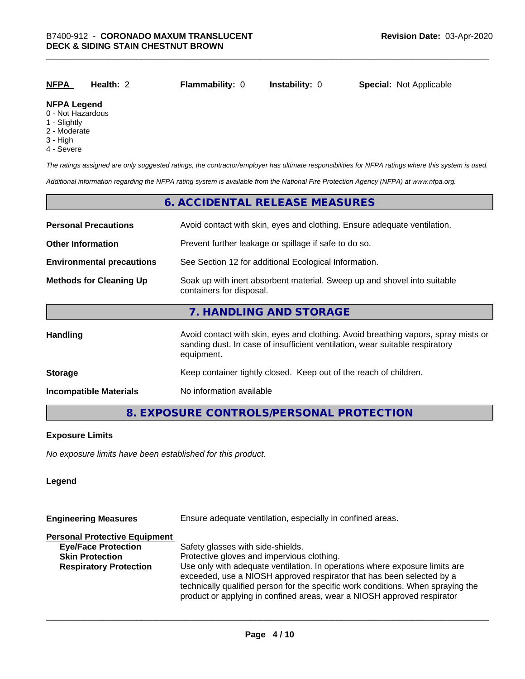| <u>NFPA</u>        | Health: 2 | <b>Flammability: 0</b> | <b>Instability: 0</b> | <b>Special: Not Applicable</b> |
|--------------------|-----------|------------------------|-----------------------|--------------------------------|
| <b>NEDA LANANA</b> |           |                        |                       |                                |

### **NFPA Legend**

- 0 Not Hazardous
- 1 Slightly
- 2 Moderate
- 3 High
- 4 Severe

*The ratings assigned are only suggested ratings, the contractor/employer has ultimate responsibilities for NFPA ratings where this system is used.*

*Additional information regarding the NFPA rating system is available from the National Fire Protection Agency (NFPA) at www.nfpa.org.*

#### **6. ACCIDENTAL RELEASE MEASURES**

| <b>Personal Precautions</b>      | Avoid contact with skin, eyes and clothing. Ensure adequate ventilation.                                                                                                         |  |  |
|----------------------------------|----------------------------------------------------------------------------------------------------------------------------------------------------------------------------------|--|--|
| <b>Other Information</b>         | Prevent further leakage or spillage if safe to do so.                                                                                                                            |  |  |
| <b>Environmental precautions</b> | See Section 12 for additional Ecological Information.                                                                                                                            |  |  |
| <b>Methods for Cleaning Up</b>   | Soak up with inert absorbent material. Sweep up and shovel into suitable<br>containers for disposal.                                                                             |  |  |
|                                  | 7. HANDLING AND STORAGE                                                                                                                                                          |  |  |
| Handling                         | Avoid contact with skin, eyes and clothing. Avoid breathing vapors, spray mists or<br>sanding dust. In case of insufficient ventilation, wear suitable respiratory<br>equipment. |  |  |
| <b>Storage</b>                   | Keep container tightly closed. Keep out of the reach of children.                                                                                                                |  |  |
| <b>Incompatible Materials</b>    | No information available                                                                                                                                                         |  |  |

#### **8. EXPOSURE CONTROLS/PERSONAL PROTECTION**

#### **Exposure Limits**

*No exposure limits have been established for this product.*

#### **Legend**

| <b>Engineering Measures</b>          | Ensure adequate ventilation, especially in confined areas.                                                                                                                                                                                                                                                          |  |  |
|--------------------------------------|---------------------------------------------------------------------------------------------------------------------------------------------------------------------------------------------------------------------------------------------------------------------------------------------------------------------|--|--|
| <b>Personal Protective Equipment</b> |                                                                                                                                                                                                                                                                                                                     |  |  |
| <b>Eye/Face Protection</b>           | Safety glasses with side-shields.                                                                                                                                                                                                                                                                                   |  |  |
| <b>Skin Protection</b>               | Protective gloves and impervious clothing.                                                                                                                                                                                                                                                                          |  |  |
| <b>Respiratory Protection</b>        | Use only with adequate ventilation. In operations where exposure limits are<br>exceeded, use a NIOSH approved respirator that has been selected by a<br>technically qualified person for the specific work conditions. When spraying the<br>product or applying in confined areas, wear a NIOSH approved respirator |  |  |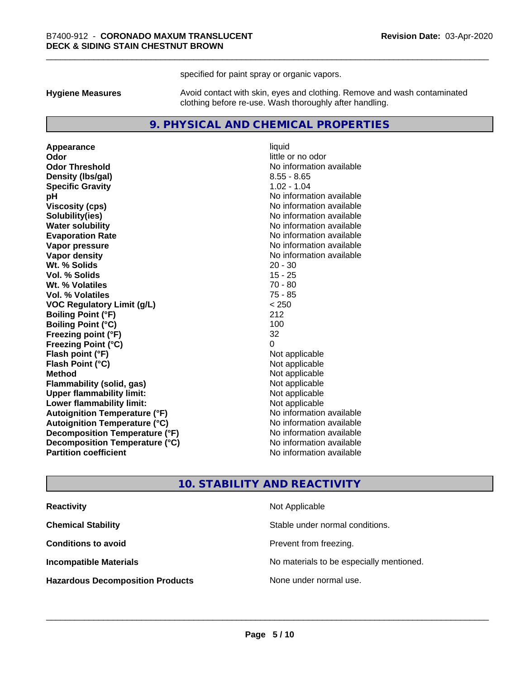specified for paint spray or organic vapors.

**Hygiene Measures** Avoid contact with skin, eyes and clothing. Remove and wash contaminated clothing before re-use. Wash thoroughly after handling.

#### **9. PHYSICAL AND CHEMICAL PROPERTIES**

**Appearance** liquid **Odor** little or no odor **Odor Threshold** No information available **Density (Ibs/gal)** 8.55 - 8.65 **Specific Gravity** 1.02 - 1.04 **pH** No information available **Viscosity (cps)** No information available **Solubility(ies)** No information available **Evaporation Rate No information available No information available Vapor pressure** No information available **Vapor density No information available No** information available **Wt. % Solids** 20 - 30 **Vol. % Solids** 15 - 25 **Wt. % Volatiles** 70 - 80 **Vol. % Volatiles** 75 - 85 **VOC Regulatory Limit (g/L)** < 250 **Boiling Point (°F)** 212 **Boiling Point (°C)** 100 **Freezing point (°F)** 32 **Freezing Point (°C)**<br> **Flash point (°F)**<br> **Flash point (°F)**<br> **Point (°F)**<br> **Point (°F)**<br> **Point (°F)**<br> **Point (°F) Flash point (°F)**<br> **Flash Point (°C)**<br> **Flash Point (°C)**<br> **C Flash Point (°C) Method** Not applicable **Flammability (solid, gas)** Not applicable<br> **Upper flammability limit:** Not applicable **Upper flammability limit: Lower flammability limit:** Not applicable **Autoignition Temperature (°F)** No information available **Autoignition Temperature (°C)** No information available **Decomposition Temperature (°F)** No information available **Decomposition Temperature (°C)** No information available **Partition coefficient Contract Contract Contract Contract Contract Contract Contract Contract Contract Contract Contract Contract Contract Contract Contract Contract Contract Contract Contract Contract Contract Contract** 

**No information available** 

#### **10. STABILITY AND REACTIVITY**

| <b>Reactivity</b>                       | Not Applicable                           |
|-----------------------------------------|------------------------------------------|
| <b>Chemical Stability</b>               | Stable under normal conditions.          |
| <b>Conditions to avoid</b>              | Prevent from freezing.                   |
| <b>Incompatible Materials</b>           | No materials to be especially mentioned. |
| <b>Hazardous Decomposition Products</b> | None under normal use.                   |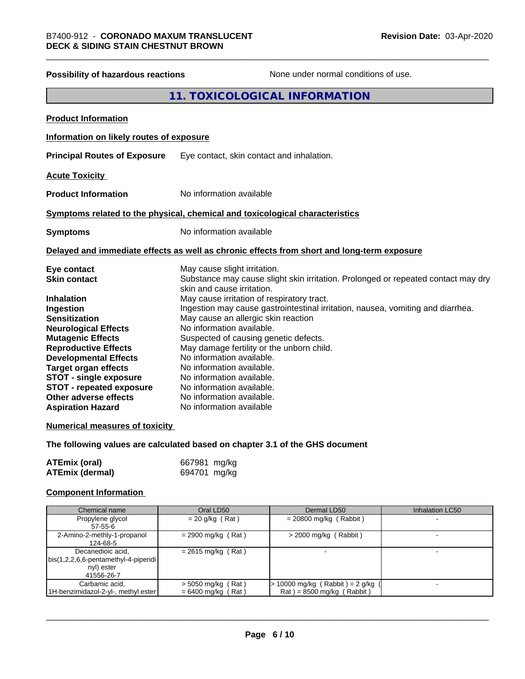## **Possibility of hazardous reactions** None under normal conditions of use. **11. TOXICOLOGICAL INFORMATION Product Information Information on likely routes of exposure Principal Routes of Exposure** Eye contact, skin contact and inhalation. **Acute Toxicity Product Information** No information available **Symptoms related to the physical,chemical and toxicological characteristics Symptoms** No information available **Delayed and immediate effects as well as chronic effects from short and long-term exposure Eye contact** May cause slight irritation. **Skin contact** Substance may cause slight skin irritation. Prolonged or repeated contact may dry skin and cause irritation. **Inhalation** May cause irritation of respiratory tract. **Ingestion Ingestion may cause gastrointestinal irritation**, nausea, vomiting and diarrhea. **Sensitization** May cause an allergic skin reaction **Neurological Effects** No information available. **Mutagenic Effects** Suspected of causing genetic defects. **Reproductive Effects** May damage fertility or the unborn child. **Developmental Effects** No information available.<br> **Target organ effects** No information available **Target organ effects** No information available.<br> **STOT - single exposure** No information available. **STOT** - single exposure **STOT** - **repeated exposure** No information available. **Other adverse effects** No information available. **Aspiration Hazard** No information available **Numerical measures of toxicity The following values are calculated based on chapter 3.1 of the GHS document**

| <b>ATEmix (oral)</b> | 667981 mg/kg |
|----------------------|--------------|
| ATEmix (dermal)      | 694701 mg/kg |

#### **Component Information**

| Chemical name                                | Oral LD50            | Dermal LD50                           | Inhalation LC50 |
|----------------------------------------------|----------------------|---------------------------------------|-----------------|
| Propylene glycol                             | $= 20$ g/kg (Rat)    | $= 20800$ mg/kg (Rabbit)              |                 |
| $57 - 55 - 6$                                |                      |                                       |                 |
| 2-Amino-2-methly-1-propanol                  | $= 2900$ mg/kg (Rat) | $>$ 2000 mg/kg (Rabbit)               |                 |
| 124-68-5                                     |                      |                                       |                 |
| Decanedioic acid,                            | $= 2615$ mg/kg (Rat) |                                       |                 |
| $\vert$ bis(1,2,2,6,6-pentamethyl-4-piperidi |                      |                                       |                 |
| nyl) ester                                   |                      |                                       |                 |
| 41556-26-7                                   |                      |                                       |                 |
| Carbamic acid,                               | $>$ 5050 mg/kg (Rat) | $\cdot$ 10000 mg/kg (Rabbit) = 2 g/kg |                 |
| 1H-benzimidazol-2-yl-, methyl ester          | $= 6400$ mg/kg (Rat) | $Rat$ = 8500 mg/kg (Rabbit)           |                 |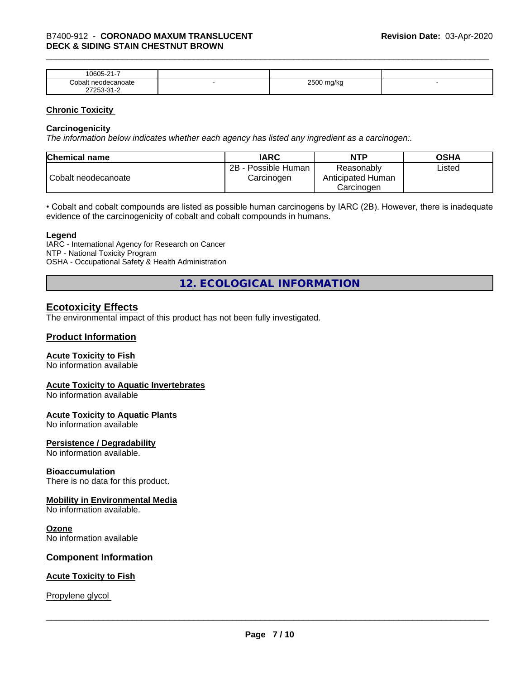| $\mathbf{a}$<br>0.000<br>ĸ<br>.<br>. . |   |                |  |
|----------------------------------------|---|----------------|--|
| `on<br>$1-11$                          | - | $- - - -$<br>ີ |  |
| $\sim$                                 |   |                |  |

#### **Chronic Toxicity**

#### **Carcinogenicity**

*The information below indicateswhether each agency has listed any ingredient as a carcinogen:.*

| <b>Chemical name</b> | <b>IARC</b>                          | <b>NTP</b>                                    | <b>OSHA</b> |
|----------------------|--------------------------------------|-----------------------------------------------|-------------|
| Cobalt neodecanoate  | 2B<br>- Possible Human<br>Carcinogen | Reasonably<br>Anticipated Human<br>Carcinoɑen | ∟isted      |

• Cobalt and cobalt compounds are listed as possible human carcinogens by IARC (2B). However, there is inadequate evidence of the carcinogenicity of cobalt and cobalt compounds in humans.

#### **Legend**

IARC - International Agency for Research on Cancer NTP - National Toxicity Program OSHA - Occupational Safety & Health Administration

**12. ECOLOGICAL INFORMATION**

#### **Ecotoxicity Effects**

The environmental impact of this product has not been fully investigated.

#### **Product Information**

#### **Acute Toxicity to Fish**

No information available

#### **Acute Toxicity to Aquatic Invertebrates**

No information available

#### **Acute Toxicity to Aquatic Plants**

No information available

#### **Persistence / Degradability**

No information available.

#### **Bioaccumulation**

There is no data for this product.

#### **Mobility in Environmental Media**

No information available.

#### **Ozone**

No information available

#### **Component Information**

#### **Acute Toxicity to Fish**

Propylene glycol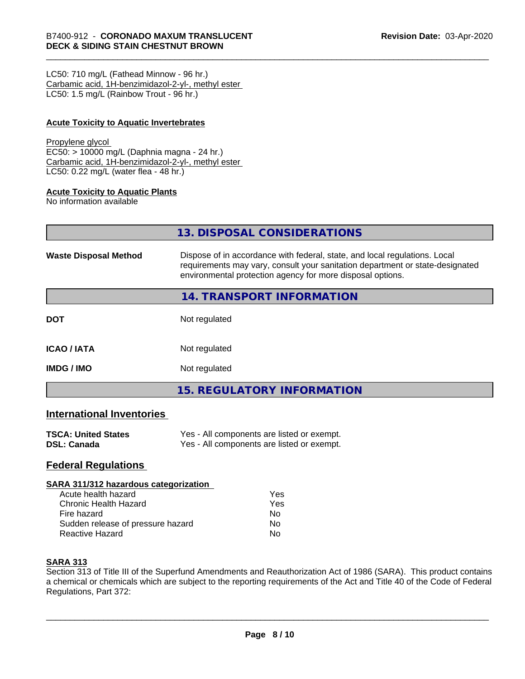LC50: 710 mg/L (Fathead Minnow - 96 hr.) Carbamic acid, 1H-benzimidazol-2-yl-, methyl ester LC50: 1.5 mg/L (Rainbow Trout - 96 hr.)

#### **Acute Toxicity to Aquatic Invertebrates**

#### Propylene glycol

EC50: > 10000 mg/L (Daphnia magna - 24 hr.) Carbamic acid, 1H-benzimidazol-2-yl-, methyl ester LC50: 0.22 mg/L (water flea - 48 hr.)

#### **Acute Toxicity to Aquatic Plants**

No information available

|                              | 13. DISPOSAL CONSIDERATIONS                                                                                                                                                                                               |
|------------------------------|---------------------------------------------------------------------------------------------------------------------------------------------------------------------------------------------------------------------------|
| <b>Waste Disposal Method</b> | Dispose of in accordance with federal, state, and local regulations. Local<br>requirements may vary, consult your sanitation department or state-designated<br>environmental protection agency for more disposal options. |
|                              | <b>14. TRANSPORT INFORMATION</b>                                                                                                                                                                                          |
| <b>DOT</b>                   | Not regulated                                                                                                                                                                                                             |
| ICAO / IATA                  | Not regulated                                                                                                                                                                                                             |
| IMDG / IMO                   | Not regulated                                                                                                                                                                                                             |
|                              |                                                                                                                                                                                                                           |

**15. REGULATORY INFORMATION**

#### **International Inventories**

| <b>TSCA: United States</b> | Yes - All components are listed or exempt. |
|----------------------------|--------------------------------------------|
| <b>DSL: Canada</b>         | Yes - All components are listed or exempt. |

#### **Federal Regulations**

#### **SARA 311/312 hazardous categorization**

| Acute health hazard               | Yes |  |
|-----------------------------------|-----|--|
| Chronic Health Hazard             | Yes |  |
| Fire hazard                       | N٥  |  |
| Sudden release of pressure hazard | N٥  |  |
| <b>Reactive Hazard</b>            | N٥  |  |

#### **SARA 313**

Section 313 of Title III of the Superfund Amendments and Reauthorization Act of 1986 (SARA). This product contains a chemical or chemicals which are subject to the reporting requirements of the Act and Title 40 of the Code of Federal Regulations, Part 372: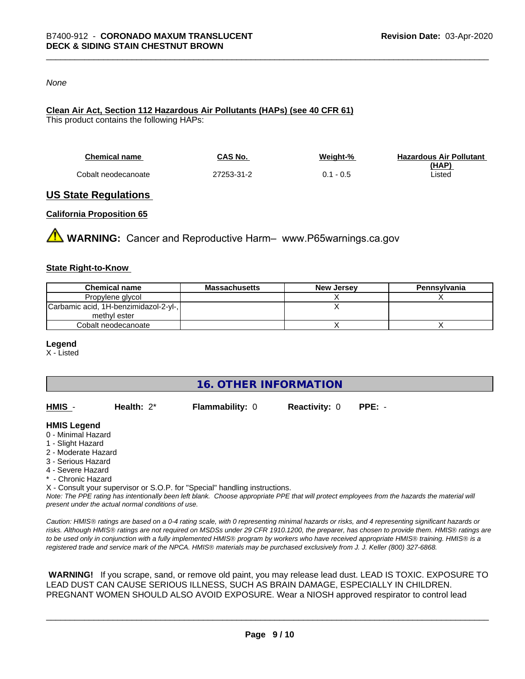#### *None*

#### **Clean Air Act,Section 112 Hazardous Air Pollutants (HAPs) (see 40 CFR 61)**

This product contains the following HAPs:

| <b>Chemical name</b> | CAS No.    | Weight-%    | <b>Hazardous Air Pollutant</b> |
|----------------------|------------|-------------|--------------------------------|
|                      |            |             | (HAP)                          |
| Cobalt neodecanoate  | 27253-31-2 | $0.1 - 0.5$ | Listed                         |

#### **US State Regulations**

#### **California Proposition 65**

**WARNING:** Cancer and Reproductive Harm– www.P65warnings.ca.gov

#### **State Right-to-Know**

| <b>Chemical name</b>                  | Massachusetts | <b>New Jersey</b> | Pennsylvania |
|---------------------------------------|---------------|-------------------|--------------|
| Propylene glycol                      |               |                   |              |
| Carbamic acid, 1H-benzimidazol-2-yl-, |               |                   |              |
| methyl ester                          |               |                   |              |
| Cobalt neodecanoate                   |               |                   |              |

#### **Legend**

X - Listed

**16. OTHER INFORMATION**

| HMIS | Health: $2^*$ | <b>Flammability: 0</b> | <b>Reactivity: 0</b> | PPE: - |
|------|---------------|------------------------|----------------------|--------|
|      |               |                        |                      |        |

#### **HMIS Legend**

- 0 Minimal Hazard
- 1 Slight Hazard
- 2 Moderate Hazard
- 3 Serious Hazard
- 4 Severe Hazard
- \* Chronic Hazard
- X Consult your supervisor or S.O.P. for "Special" handling instructions.

*Note: The PPE rating has intentionally been left blank. Choose appropriate PPE that will protect employees from the hazards the material will present under the actual normal conditions of use.*

*Caution: HMISÒ ratings are based on a 0-4 rating scale, with 0 representing minimal hazards or risks, and 4 representing significant hazards or risks. Although HMISÒ ratings are not required on MSDSs under 29 CFR 1910.1200, the preparer, has chosen to provide them. HMISÒ ratings are to be used only in conjunction with a fully implemented HMISÒ program by workers who have received appropriate HMISÒ training. HMISÒ is a registered trade and service mark of the NPCA. HMISÒ materials may be purchased exclusively from J. J. Keller (800) 327-6868.*

 **WARNING!** If you scrape, sand, or remove old paint, you may release lead dust. LEAD IS TOXIC. EXPOSURE TO LEAD DUST CAN CAUSE SERIOUS ILLNESS, SUCH AS BRAIN DAMAGE, ESPECIALLY IN CHILDREN. PREGNANT WOMEN SHOULD ALSO AVOID EXPOSURE.Wear a NIOSH approved respirator to control lead